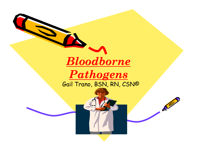

**TA** 

## *Pathogens Pathogens*  Gail Trano, BSN, RN, CSN©

 $\mathcal{L}^{(n)}$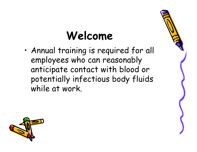# **Welcome**

• Annual training is required for all employees who can reasonably anticipate contact with blood or potentially infectious body fluids while at work.



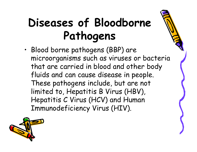# **Diseases of Bloodborne Pathogens**

• Blood borne pathogens (BBP) are microorganisms such as viruses or bacteria that are carried in blood and other body fluids and can cause disease in people. These pathogens include, but are not limited to, Hepatitis B Virus (HBV), Hepatitis C Virus (HCV) and Human Immunodeficiency Virus (HIV).

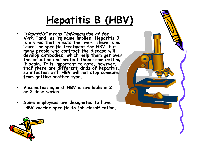## **Hepatitis B (HBV)**

- **"Hepatitis" means "inflammation of the liver," and, as its name implies, Hepatitis B is a virus that infects the liver. There is no**  many people who contract the disease will<br>develop antibodies, which help them get over<br>the infection and protect them from getting<br>it again. It is important to note, however,<br>that there are different kinds of hepatitis,<br>so
- **Vaccination against HBV is available in 2 or 3 dose series.**
- **Some employees are designated to have HBV vaccine specific to job classification.**



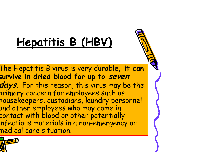# **Hepatitis B (HBV)**

The Hepatitis B virus is very durable, **it can survive in dried blood for up to seven days.** For this reason, this virus may be the primary concern for employees such as housekeepers, custodians, laundry personnel and other employees who may come in contact with blood or other potentially infectious materials in a non-emergency or medical care situation.

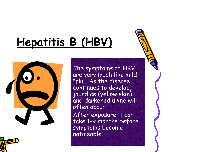# **Hepatitis B (HBV)**



The symptoms of HBV are very much like mild "flu". As the disease continues to develop, jaundice (yellow skin) and darkened urine will often occur.

After exposure it can take 1-9 months before symptoms become noticeable.

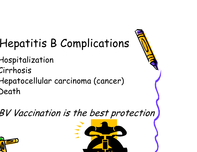# Hepatitis B Complications

- Hospitalization Cirrhosis
- Hepatocellular carcinoma (cancer) Death

## BV Vaccination is the best protection



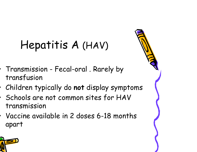# Hepatitis A (HAV)

- Transmission Fecal-oral . Rarely by transfusion
- Children typically do **not** display symptoms
- Schools are not common sites for HAV transmission
- Vaccine available in 2 doses 6-18 months apart

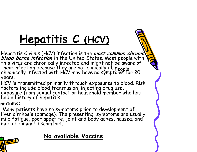# **Hepatitis C (HCV)**

Hepatitis C virus (HCV) infection is the **most common chronic**<br>blood borne infection in the United States. Most people with<br>this virus are chronically infected and might not be aware of<br>their infection because they are not years.

HCV is transmitted primarily through exposures to blood. Risk factors include blood transfusion, injecting drug use, exposure from sexual contact or household member who has had a history of hepatitis.

#### **ymptoms:**

Many patients have no symptoms prior to development of liver cirrhosis (damage). The presenting symptoms are usually mild fatigue, poor appetite, joint and body aches, nausea, and mild abdominal discomfort.



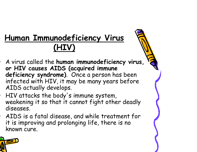## **Human Immunodeficiency Virus (HIV)**

- A virus called the **human immunodeficiency virus, or HIV causes AIDS (acquired immune deficiency syndrome)**. Once a person has been infected with HIV, it may be many years before AIDS actually develops.
- HIV attacks the body's immune system, weakening it so that it cannot fight other deadly diseases.
- AIDS is a fatal disease, and while treatment for it is improving and prolonging life, there is no known cure.

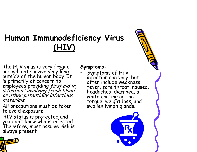## **Human Immunodeficiency Virus (HIV)**

The HIV virus is very fragile Symptoms:<br>
and will not survive very long . Symptoms of HIV<br>
outside of the human body. It is primarily of concern to<br>
employees providing *first aid in* often include weakness,<br>
employees pro

All precautions must be taken<br>to avoid exposure.

HIV status is protected and you don't know who is infected. Therefore, must assume risk is always present

infection can vary, but fever, sore throat, nausea, headaches, diarrhea, a tongue, weight loss, and<br>swollen lymph glands.

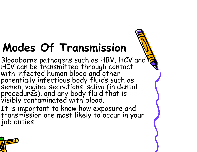# **Modes Of Transmission**

Bloodborne pathogens such as HBV, HCV and<br>HIV can be transmitted through contact<br>with infected human blood and other potentially infectious body fluids such as:<br>semen, vaginal secretions, saliva (in dental procedures), and any body fluid that is visibly contaminated with blood.

It is important to know how exposure and transmission are most likely to occur in your job duties.

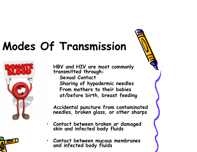# **Modes Of Transmission**



**HBV and HIV are most commonly transmitted through:** 

**Sexual Contact Sharing of hypodermic needles From mothers to their babies at/before birth, breast feeding** 

**Accidental puncture from contaminated needles, broken glass, or other sharps** 

- **Contact between broken or damaged skin and infected body fluids**
- **Contact between mucous membranes and infected body fluids**

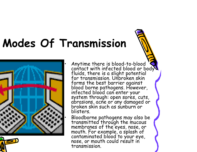# **Modes Of Transmission**



Anytime there is blood-to-blood '<br>
contact with infected blood or body<br>
fluids, there is a slight potential<br>
for transmission. Unbroken skin<br>
forms the best barrier against blood borne pathogens. However, infected blood can enter your system through: open sores, cuts, abrasions, acne or any damaged or broken skin such as sunburn or blisters.

• Bloodborne pathogens may also be transmitted through the mucous membranes of the eyes, nose, or mouth. For example, a splash of contaminated blood to your eye, nose, or mouth could result in transmission.

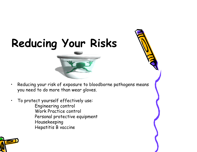# **Reducing Your Risks**

#### • Reducing your risk of exposure to bloodborne pathogens means you need to do more than wear gloves.

• To protect yourself effectively use: Engineering control Work Practice control Personal protective equipment Housekeeping Hepatitis B vaccine

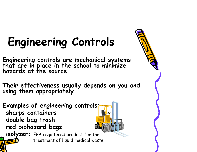# **Engineering Controls**

**Engineering controls are mechanical systems that are in place in the school to minimize hazards at the source.** 

**Their effectiveness usually depends on you and using them appropriately.** 

**Examples of engineering controls: sharps containers double bag trash red biohazard bags** 

**isolyzer:** EPA registered product for the treatment of liquid medical waste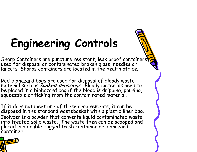# **Engineering Controls**

Sharp Containers are puncture resistant, leak proof containers<br>used for disposal of contaminated broken glass, needles or<br>lancets. Sharps containers are located in the health office.

Red biohazard bags are used for disposal of bloody waste<br>material such as **soaked dressings**. Bloody materials need to<br>be placed in a biohazard bag if the blood is dripping, pouring,<br>squeezable or flaking from the contamin

If it does not meet one of these requirements, it can be disposed in the standard wastebasket with a plastic liner bag. Isolyzer is a powder that converts liquid contaminated waste into treated solid waste. The waste then can be scooped and placed in a double bagged trash container or biohazard<br>container.

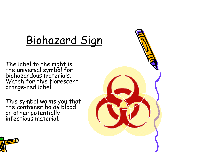## Biohazard Sign

- The label to the right is<br>the universal symbol for<br>biohazardous materials. Watch for this florescent orange-red label.
- This symbol warns you that the container holds blood or other potentially infectious material.



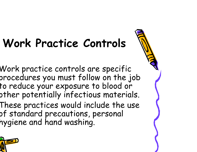# **Work Practice Controls**

- Work practice controls are specific procedures you must follow on the job to reduce your exposure to blood or other potentially infectious materials.
- These practices would include the use of standard precautions, personal hygiene and hand washing.

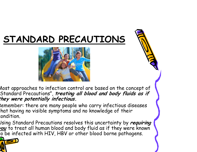## **STANDARD PRECAUTIONS**



Most approaches to infection control are based on the concept of Standard Precautions", **treating all blood and body fluids as if t hey were potentially infectious.** 

Remember: there are many people who carry infectious diseases that having no visible symptoms and no knowledge of their condition.

Using Standard Precautions resolves this uncertainty by **requiring you** to treat all human blood and body fluid as if they were known to be infected with HIV, HBV or other blood borne pathogens.

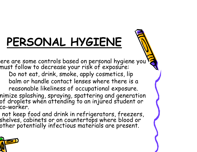# **PERSONAL HYGIENE**

ere are some controls based on personal hygiene you' must follow to decrease your risk of exposure:

Do not eat, drink, smoke, apply cosmetics, lip balm or handle contact lenses where there is a reasonable likeliness of occupational exposure.

nimize splashing, spraying, spattering and generation of droplets when attending to an injured student or co-worker.

 not keep food and drink in refrigerators, freezers, shelves, cabinets or on countertops where blood or other potentially infectious materials are present.

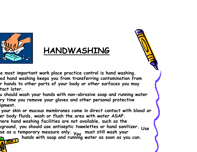

## **HANDWASHING**

**he most important work place practice control is hand washing. od hand washing keeps you from transferring contamination from r hands to other parts of your body or other surfaces you may tact later.** 

**u should wash your hands with non-abrasive soap and running water ry time you remove your gloves and other personal protective ipment.** 

**your skin or mucous membranes come in direct contact with blood or er body fluids, wash or flush the area with water ASAP. here hand washing facilities are not available, such as the**  se as a temporary measure only. <sub>You</sub> must still wash your<br>**nown** hands with soap and running water as soon as you can.

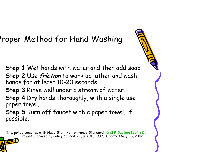## Proper Method for Hand Washing

- **Step 1** Wet hands with water and then add soap.
- **Step 2** Use **friction** to work up lather and wash hands for at least 10-20 seconds.
- **Step 3** Rinse well under a stream of water.
- **Step 4** Dry hands thoroughly, with a single use paper towel.
- **Step 5** Turn off faucet with a paper towel, if possible.

This policy complies with Head Start Performance Standard 45 CFR Section 1304.22 . It was approved by Policy Council on June 10, 1997. Updated May 28, 2002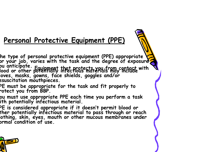### **Personal Protective Equipment (PPE)**

- **he type of personal protective equipment (PPE) appropriate**  or your job, varies with the task and the degree of exposure<mark>?</mark> **ou anticipate. Equipment that protects you from contact with lood or other potentially infectious materials may include loves, masks, gowns, face shields, goggles and/or esuscitation mouthpieces.**
- **PE must be appropriate for the task and fit properly to rotect you from BBP.**
- **ou must use appropriate PPE each time you perform a task ith potentially infectious material.**
- **PE is considered appropriate if it doesn't permit blood or ther potentially infectious material to pass through or reach lothing, skin, eyes, mouth or other mucous membranes under ormal condition of use.**

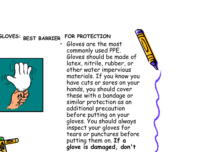### **GLOVES: BEST BARRIER FOR PROTECTION**





• Gloves are the most commonly used PPE. Gloves should be made of latex, nitrile, rubber, or other water impervious materials. If you know you have cuts or sores on your hands, you should cover these with a bandage or similar protection as an additional precaution before putting on your gloves. You should always inspect your gloves for tears or punctures before putting them on. **If a glove is damaged, don't**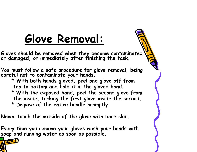## **Glove Removal:**

**Gloves should be removed when they become contaminated or damaged, or immediately after finishing the task.** 

**You must follow a safe procedure for glove removal, being careful not to contaminate your hands.** 

**\* With both hands gloved, peel one glove off from top to bottom and hold it in the gloved hand. \* With the exposed hand, peel the second glove from** 

**the inside, tucking the first glove inside the second. \* Dispose of the entire bundle promptly.** 

**Never touch the outside of the glove with bare skin.** 

**Every time you remove your gloves wash your hands with soap and running water as soon as possible.**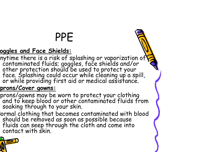# PPE

#### **oggles and Face Shields:**

nytime there is a risk of splashing or vaporization of<br>contaminated fluids; goggles, face shields and/or<br>other protection should be used to protect your<br>face. Splashing could occur while cleaning up a spill,<br>or while provi

#### **prons/Cover gowns:**

prons/gowns may be worn to protect your clothing and to keep blood or other contaminated fluids from soaking through to your skin.

Normal clothing that becomes contaminated with blood should be removed as soon as possible because fluids can seep through the cloth and come into contact with skin.

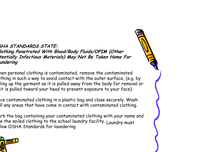**SHA STANDARDS STATE: Clothing Penetrated With Blood/Body Fluids/OPIM (Other tentially Infectious Materials) May Not Be Taken Home For undering** 

hen personal clothing is contaminated, remove the contaminated thing in such a way to avoid contact with the outer surface, (e.g. by ling up the garment as it is pulled away from the body for removal or it is pulled toward your head to prevent exposure to your face).

ce contaminated clothing in a plastic bag and close securely. Wash ll any areas that have come in contact with contaminated clothing.

ark the bag containing your contaminated clothing with your name and e the soiled clothing to the school laundry facility. Laundry must low OSHA Standards for laundering.

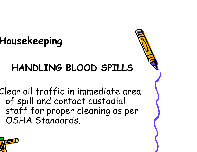## **Housekeeping**

## **HANDLING BLOOD SPILLS**

Clear all traffic in immediate area of spill and contact custodial staff for proper cleaning as per OSHA Standards.

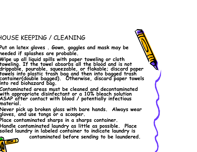#### HOUSE KEEPING / CLEANING

- **Put on latex gloves . Gown, goggles and mask may be needed if splashes are probable.**
- **Wipe up all liquid spills with paper toweling or cloth toweling. If the towel absorbs all the blood and is not drippable, pourable, squeezable, or flakable; discard paper towels into plastic trash bag and then into bagged trash container(double bagged). Otherwise, discard paper towels into red biohazard bag.**
- **Contaminated areas must be cleaned and decontaminated with appropriate disinfectant or a 10% bleach solution ASAP after contact with blood / potentially infectious material.**
- **Never pick up broken glass with bare hands. Always wear gloves, and use tongs or a scooper.**
- **Place contaminated sharps in a sharps container.**
- **Handle contaminated laundry as little as possible. Place soiled laundry in labeled container to indicate laundry is**

**contaminated before sending to be laundered.** 

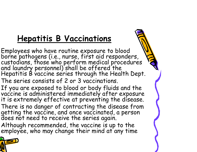## **Hepatitis B Vaccinations**

Employees who have routine exposure to blood<br>borne pathogens (i.e., nurse, first aid responders,<br>custodians, those who perform medical procedures<br>and laundry personnel) shall be offered the<br>Hepatitis B vaccine series throu The series consists of 2 or 3 vaccinations.

If you are exposed to blood or body fluids and the vaccine is administered immediately after exposure it is extremely effective at preventing the disease. There is no danger of contracting the disease from getting the vaccine, and once vaccinated, a person does not need to receive the series again.

Although recommended, the vaccine is up to the employee, who may change their mind at any time

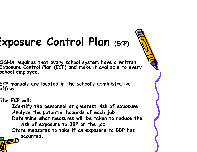# **Exposure Control Plan (ECP)**

**OSHA requires that every school system have a written Exposure Control Plan (ECP) and make it available to every school employee.** 

**ECP manuals are located in the school's administrative office.** 

**The ECP will:** 

**Identify the personnel at greatest risk of exposure. Analyze the potential hazards of each job. Determine what measures will be taken to reduce the risk of exposure to BBP on the job. State measures to take if an exposure to BBP has occurred.** 

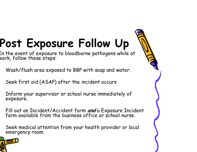# **Post Exposure Follow Up**

In the event of exposure to bloodborne pathogens while at vork, follow these steps:

- Wash/flush area exposed to BBP with soap and water.
- Seek first aid (ASAP) after the incident occurs
- Inform your supervisor or school nurse immediately of exposure.
- Fill out an Incident/Accident form **and** a Exposure Incident form available from the business office or school nurse.
- Seek medical attention from your health provider or local emergency room.

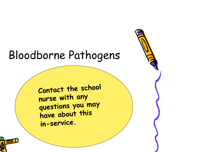## Bloodborne Pathogens

Contact the school nurse with any questions you may have about this in-service.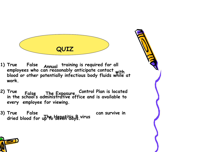

- **1) True False Annual training is required for all employees who can reasonably anticipate contact with blood or other potentially infectious body fluids while at work.**
- **2) True False The Exposure Control Plan is located in the school's administrative office and is available to every employee for viewing.**
- 3) True False can survive in the Hepatitia B virus can survive in dried blood for up the Hepatitia B virus



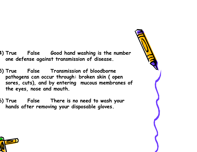- **4) True False Good hand washing is the number one defense against transmission of disease.**
- **5) True False Transmission of bloodborne pathogens can occur through: broken skin ( open sores, cuts), and by entering mucous membranes of the eyes, nose and mouth.**
- **6) True False There is no need to wash your hands after removing your disposable gloves.**

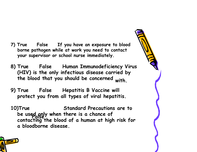- **7) True False If you have an exposure to blood borne pathogen while at work you need to contact your supervisor or school nurse immediately.**
- **8) True False Human Immunodeficiency Virus (HIV) is the only infectious disease carried by the blood that you should be concerned with.**
- **9) True False Hepatitis B Vaccine will protect you from all types of viral hepatitis.**
- **10)True False be used only when there is a chance of Standard Precautions are to contacting the blood of a human at high risk for a bloodborne disease.**

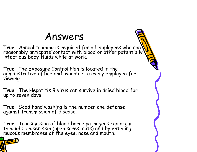## Answers

True Annual training is required for all employees who can<br>reasonably anticpate contact with blood or other potentially<br>infectious body fluids while at work.

**True** The Exposure Control Plan is located in the administrative office and available to every employee for viewing.

**True** The Hepatitis B virus can survive in dried blood for up to seven days.

**True** Good hand washing is the number one defense against transmission of disease.

**True** Transmission of blood borne pathogens can occur through: broken skin (open sores, cuts) and by entering mucous membranes of the eyes, nose and mouth.

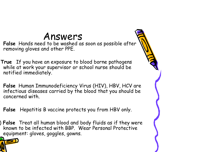## Answers

**False** Hands need to be washed as soon as possible after removing gloves and other PPE.

**True** If you have an exposure to blood borne pathogens while at work your supervisor or school nurse should be notified immediately.

**False** Human Immunodeficiency Virus (HIV), HBV, HCV are infectious diseases carried by the blood that you should be concerned with.

**False** Hepatitis B vaccine protects you from HBV only.

) **False** Treat all human blood and body fluids as if they were known to be infected with BBP. Wear Personal Protective equipment: gloves, goggles, gowns.